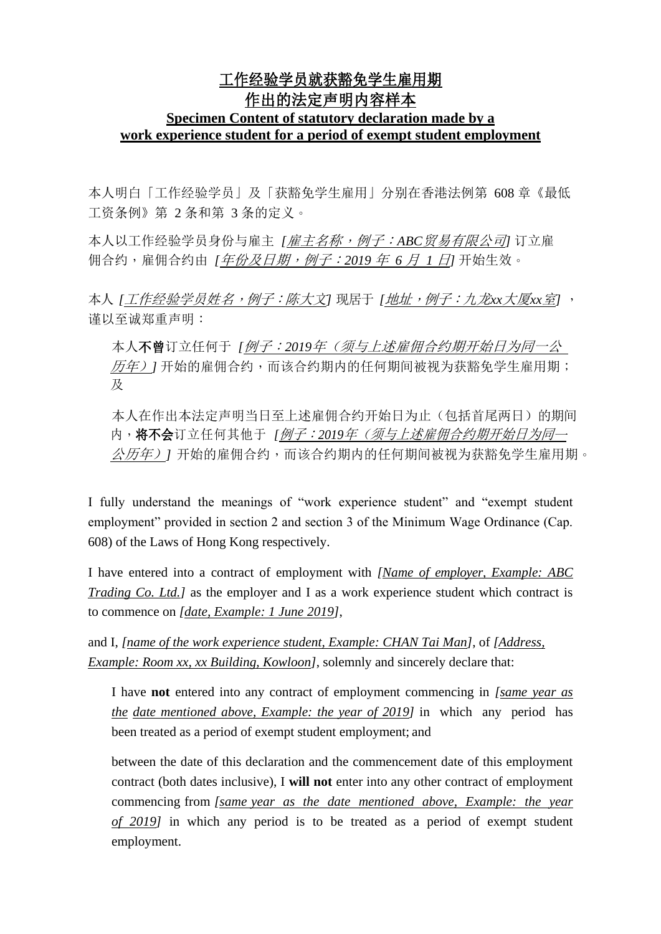## 工作经验学员就获豁免学生雇用期 作出的法定声明内容样本 **Specimen Content of statutory declaration made by a work experience student for a period of exempt student employment**

本人明白「工作经验学员」及「获豁免学生雇用」分别在香港法例第 608 章《最低 工资条例》第 2 条和第 3 条的定义。

本人以工作经验学员身份与雇主 *[*雇主名称,例子:*ABC*贸易有限公司*]* 订立雇 佣合约,雇佣合约由 *[*年份及日期,例子:*2019* 年 *6* 月 *1* 日*]* 开始生效。

本人 *[*工作经验学员姓名,例子:陈大文*]* 现居于 *[*地址,例子:九龙*xx*大厦*xx*室*]* , 谨以至诚郑重声明:

本人不曾订立任何于 *[*例子:*2019*年(须与上述雇佣合约期开始日为同一公 历年)*]* 开始的雇佣合约,而该合约期内的任何期间被视为获豁免学生雇用期; 及

本人在作出本法定声明当日至上述雇佣合约开始日为止(包括首尾两日)的期间 内,将不会订立任何其他于 *[*例子:*2019*年(须与上述雇佣合约期开始日为同<sup>一</sup> 公历年)*]* 开始的雇佣合约,而该合约期内的任何期间被视为获豁免学生雇用期。

I fully understand the meanings of "work experience student" and "exempt student employment" provided in section 2 and section 3 of the Minimum Wage Ordinance (Cap. 608) of the Laws of Hong Kong respectively.

I have entered into a contract of employment with *[Name of employer, Example: ABC Trading Co. Ltd.]* as the employer and I as a work experience student which contract is to commence on *[date, Example: 1 June 2019]*,

and I, *[name of the work experience student, Example: CHAN Tai Man]*, of *[Address, Example: Room xx, xx Building, Kowloon]*, solemnly and sincerely declare that:

I have **not** entered into any contract of employment commencing in *[same year as the date mentioned above, Example: the year of 2019]* in which any period has been treated as a period of exempt student employment; and

between the date of this declaration and the commencement date of this employment contract (both dates inclusive), I **will not** enter into any other contract of employment commencing from *[same year as the date mentioned above, Example: the year of 2019]* in which any period is to be treated as a period of exempt student employment.